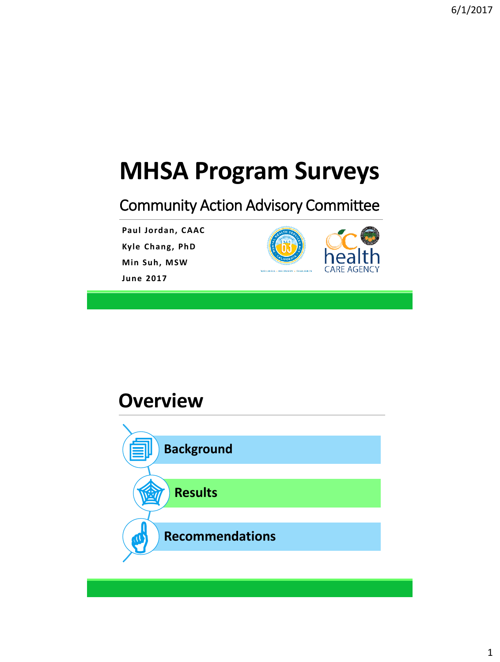# **MHSA Program Surveys**

#### Community Action Advisory Committee

**Paul Jordan, CAAC**

**Kyle Chang, PhD**

**Min Suh, MSW**

**June 2017**



#### **Overview**

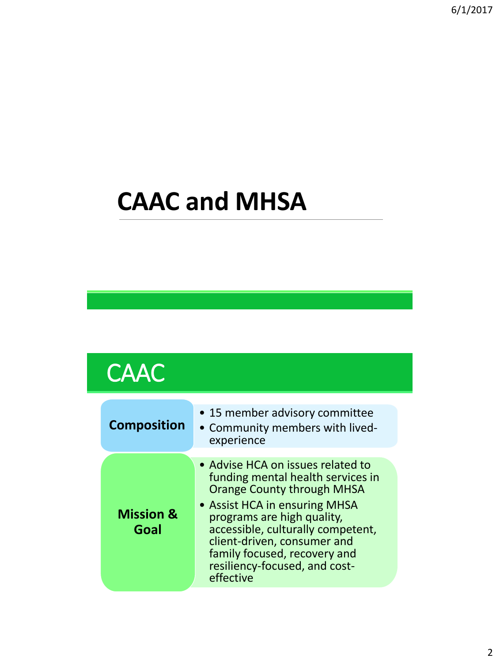# **CAAC and MHSA**

### **CAAC**

| <b>Composition</b>           | • 15 member advisory committee<br>• Community members with lived-<br>experience                                                                                                                                                                                                                                              |
|------------------------------|------------------------------------------------------------------------------------------------------------------------------------------------------------------------------------------------------------------------------------------------------------------------------------------------------------------------------|
| <b>Mission &amp;</b><br>Goal | • Advise HCA on issues related to<br>funding mental health services in<br><b>Orange County through MHSA</b><br>• Assist HCA in ensuring MHSA<br>programs are high quality,<br>accessible, culturally competent,<br>client-driven, consumer and<br>family focused, recovery and<br>resiliency-focused, and cost-<br>effective |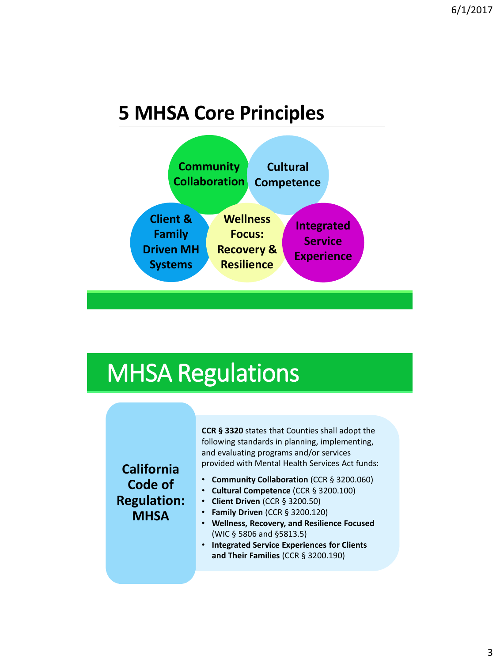#### **5 MHSA Core Principles**



#### MHSA Regulations

#### **California Code of Regulation: MHSA**

**CCR § 3320** states that Counties shall adopt the following standards in planning, implementing, and evaluating programs and/or services provided with Mental Health Services Act funds:

- **Community Collaboration** (CCR § 3200.060)
- **Cultural Competence** (CCR § 3200.100)
- **Client Driven** (CCR § 3200.50)
- **Family Driven** (CCR § 3200.120)
- **Wellness, Recovery, and Resilience Focused**  (WIC § 5806 and §5813.5)
- **Integrated Service Experiences for Clients and Their Families** (CCR § 3200.190)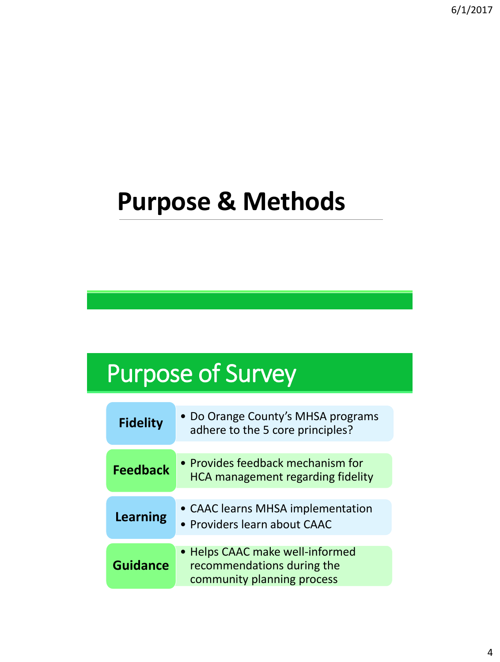## **Purpose & Methods**

## Purpose of Survey

| <b>Fidelity</b> | • Do Orange County's MHSA programs<br>adhere to the 5 core principles?                      |
|-----------------|---------------------------------------------------------------------------------------------|
|                 |                                                                                             |
| <b>Feedback</b> | • Provides feedback mechanism for<br><b>HCA management regarding fidelity</b>               |
|                 |                                                                                             |
| <b>Learning</b> | • CAAC learns MHSA implementation<br>• Providers learn about CAAC                           |
|                 |                                                                                             |
| <b>Guidance</b> | • Helps CAAC make well-informed<br>recommendations during the<br>community planning process |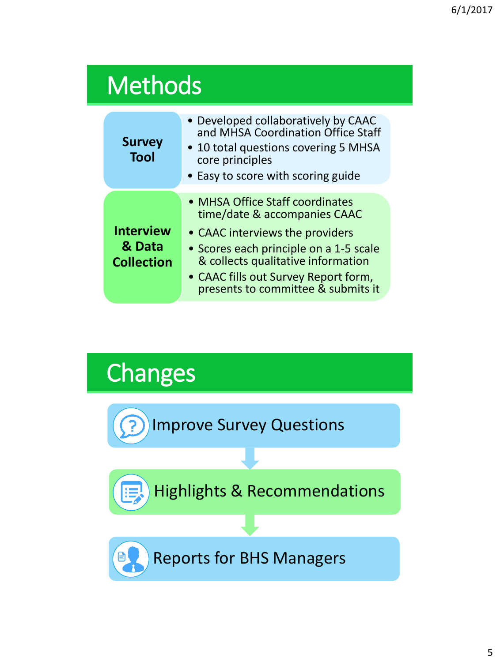|  | <b>Methods</b> |
|--|----------------|
|  |                |

| <b>Survey</b><br><b>Tool</b>                    | • Developed collaboratively by CAAC<br>and MHSA Coordination Office Staff<br>• 10 total questions covering 5 MHSA<br>core principles<br>• Easy to score with scoring guide                                                                                       |
|-------------------------------------------------|------------------------------------------------------------------------------------------------------------------------------------------------------------------------------------------------------------------------------------------------------------------|
| <b>Interview</b><br>& Data<br><b>Collection</b> | • MHSA Office Staff coordinates<br>time/date & accompanies CAAC<br>• CAAC interviews the providers<br>• Scores each principle on a 1-5 scale<br>& collects qualitative information<br>• CAAC fills out Survey Report form,<br>presents to committee & submits it |

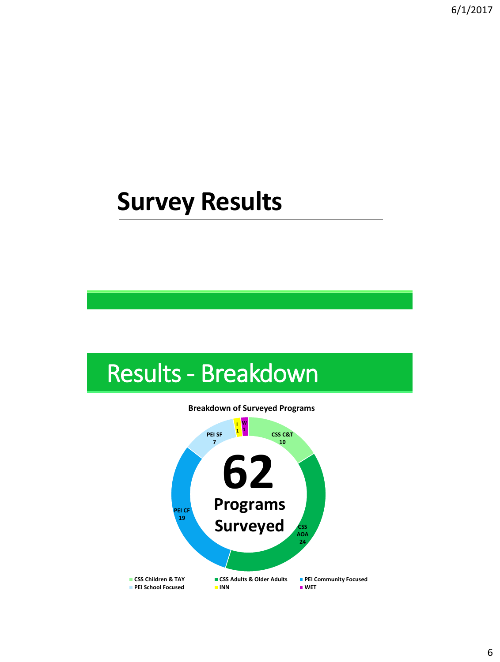### **Survey Results**



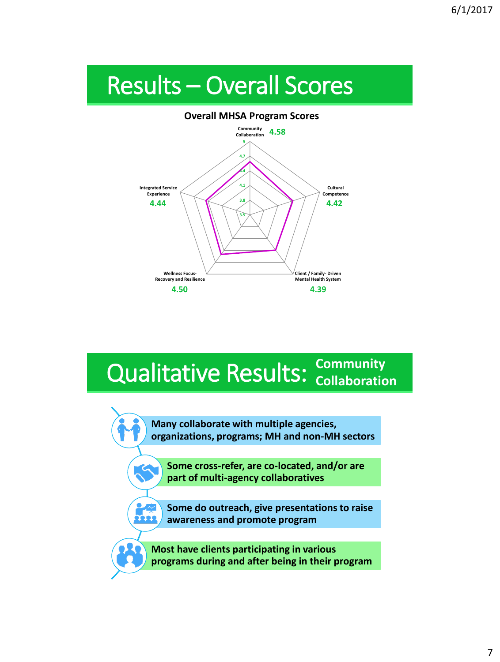## Results – Overall Scores



# **Qualitative Results: Community**

**Many collaborate with multiple agencies, organizations, programs; MH and non-MH sectors**

**Some cross-refer, are co-located, and/or are part of multi-agency collaboratives** 

**Some do outreach, give presentations to raise awareness and promote program**

TEER

**Most have clients participating in various programs during and after being in their program**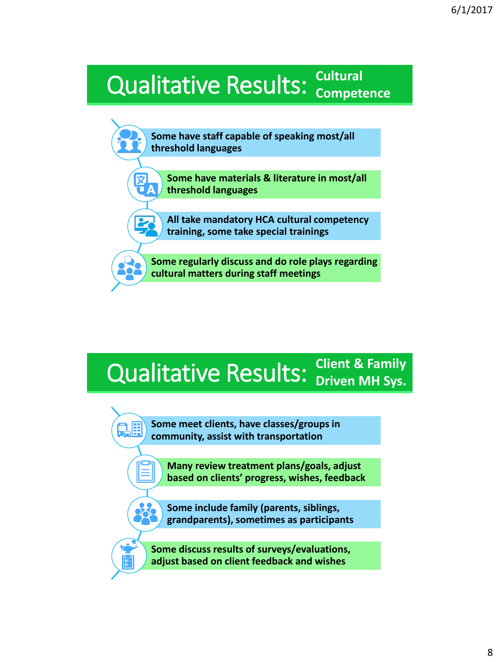#### **Qualitative Results: Cultural** *Qualitative* **Results: Compete Competence**



#### Qualitative Results: **Client & Family Driven MH Sys.**

**Some meet clients, have classes/groups in community, assist with transportation**

QE

**Many review treatment plans/goals, adjust based on clients' progress, wishes, feedback**

**Some include family (parents, siblings, grandparents), sometimes as participants**

**Some discuss results of surveys/evaluations, adjust based on client feedback and wishes**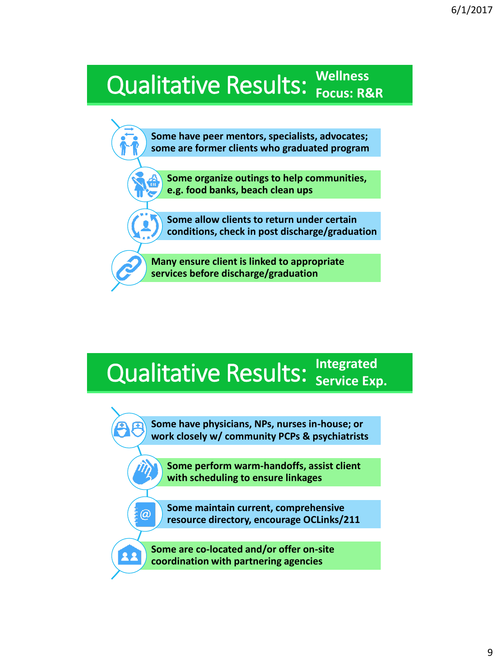# Qualitative Results: **Wellness Focus: R&R**

**Some have peer mentors, specialists, advocates; some are former clients who graduated program**

**Some organize outings to help communities, e.g. food banks, beach clean ups**

**Some allow clients to return under certain conditions, check in post discharge/graduation**

**Many ensure client is linked to appropriate services before discharge/graduation**

# **Qualitative Results: Service Exp.**

**Some have physicians, NPs, nurses in-house; or work closely w/ community PCPs & psychiatrists**

**Some perform warm-handoffs, assist client with scheduling to ensure linkages**

**Some maintain current, comprehensive resource directory, encourage OCLinks/211**

**Some are co-located and/or offer on-site coordination with partnering agencies**

 $\omega$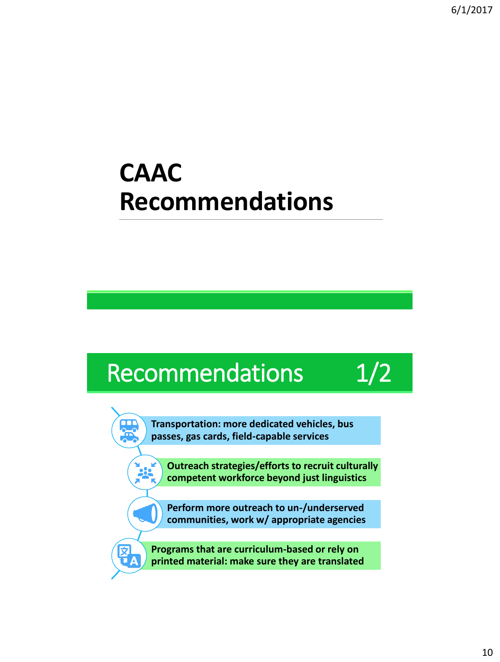## **CAAC Recommendations**



**Transportation: more dedicated vehicles, bus passes, gas cards, field-capable services**

**Outreach strategies/efforts to recruit culturally competent workforce beyond just linguistics** 

**Perform more outreach to un-/underserved communities, work w/ appropriate agencies**

**Programs that are curriculum-based or rely on printed material: make sure they are translated**